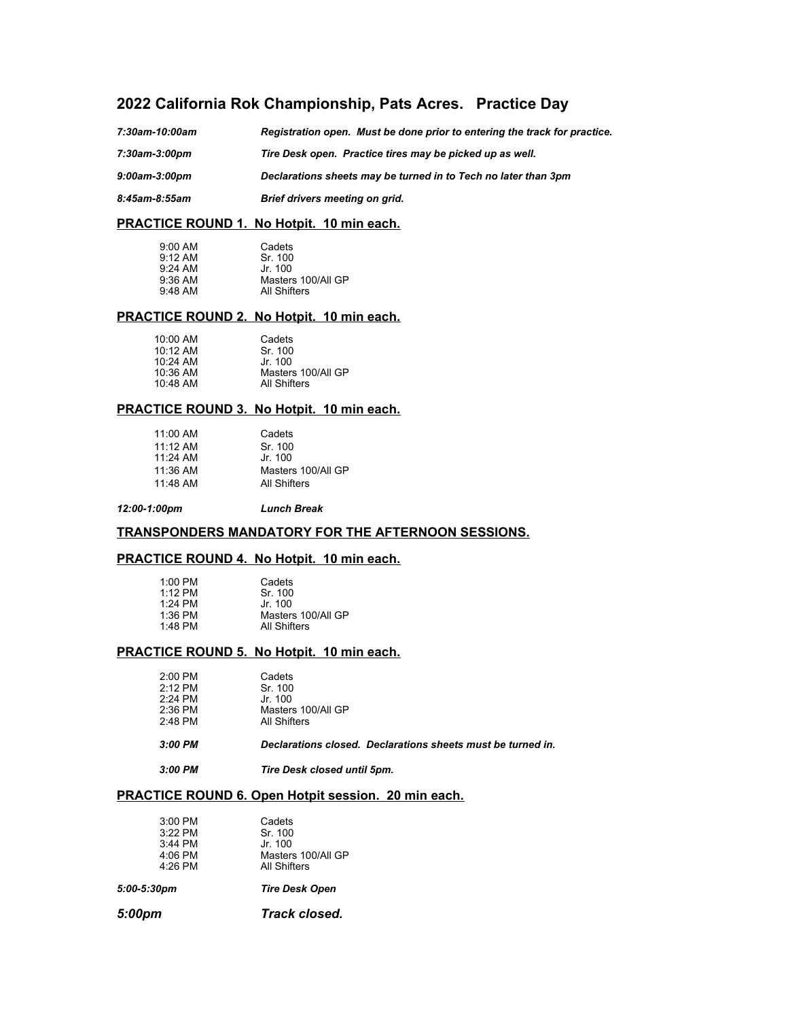# **2022 California Rok Championship, Pats Acres. Practice Day**

| 7:30am-10:00am       | Registration open. Must be done prior to entering the track for practice. |
|----------------------|---------------------------------------------------------------------------|
| 7:30am-3:00pm        | Tire Desk open. Practice tires may be picked up as well.                  |
| $9:00$ am- $3:00$ pm | Declarations sheets may be turned in to Tech no later than 3pm            |
| 8:45am-8:55am        | Brief drivers meeting on grid.                                            |

### **PRACTICE ROUND 1. No Hotpit. 10 min each.**

| $9:00$ AM           | Cadets             |
|---------------------|--------------------|
| $9.12 \, \text{AM}$ | Sr 100             |
| $9.24$ AM           | Jr 100             |
| $9:36$ AM           | Masters 100/All GP |
| $9:48$ AM           | All Shifters       |

#### **PRACTICE ROUND 2. No Hotpit. 10 min each.**

| $10:00$ AM           | Cadets             |
|----------------------|--------------------|
| $10:12 \, \text{AM}$ | Sr. 100            |
| $10.24$ AM           | Jr 100             |
| 10:36 AM             | Masters 100/All GP |
| 10:48 AM             | All Shifters       |

#### **PRACTICE ROUND 3. No Hotpit. 10 min each.**

| 11:00 AM   | Cadets             |
|------------|--------------------|
| $11.12$ AM | Sr. 100            |
| $11.24$ AM | Jr. 100            |
| $11:36$ AM | Masters 100/All GP |
| $11.48$ AM | All Shifters       |

*12:00-1:00pm Lunch Break*

### **TRANSPONDERS MANDATORY FOR THE AFTERNOON SESSIONS.**

#### **PRACTICE ROUND 4. No Hotpit. 10 min each.**

| $1:00$ PM<br>$1.12$ PM | Cadets<br>Sr. 100  |
|------------------------|--------------------|
| 1.24 PM                | Jr 100             |
| $1:36$ PM              | Masters 100/All GP |
| 1:48 PM                | All Shifters       |

### **PRACTICE ROUND 5. No Hotpit. 10 min each.**

| 3:00 PM<br>Declarations closed. Declarations sheets must be turned in.                                       |  |
|--------------------------------------------------------------------------------------------------------------|--|
|                                                                                                              |  |
| $2:12$ PM<br>Sr. 100<br>$2.24$ PM<br>Jr. 100<br>Masters 100/All GP<br>$2:36$ PM<br>$2:48$ PM<br>All Shifters |  |
| $2:00$ PM<br>Cadets                                                                                          |  |

# **PRACTICE ROUND 6. Open Hotpit session. 20 min each.**

| 5:00pm               | Track closed.                             |
|----------------------|-------------------------------------------|
| $5:00-5:30$ pm       | <b>Tire Desk Open</b>                     |
| $4:06$ PM<br>4:26 PM | Masters 100/All GP<br><b>All Shifters</b> |
| 3:44 PM              | Jr. 100                                   |
| 3:22 PM              | Sr. 100                                   |
| $3:00$ PM            | Cadets                                    |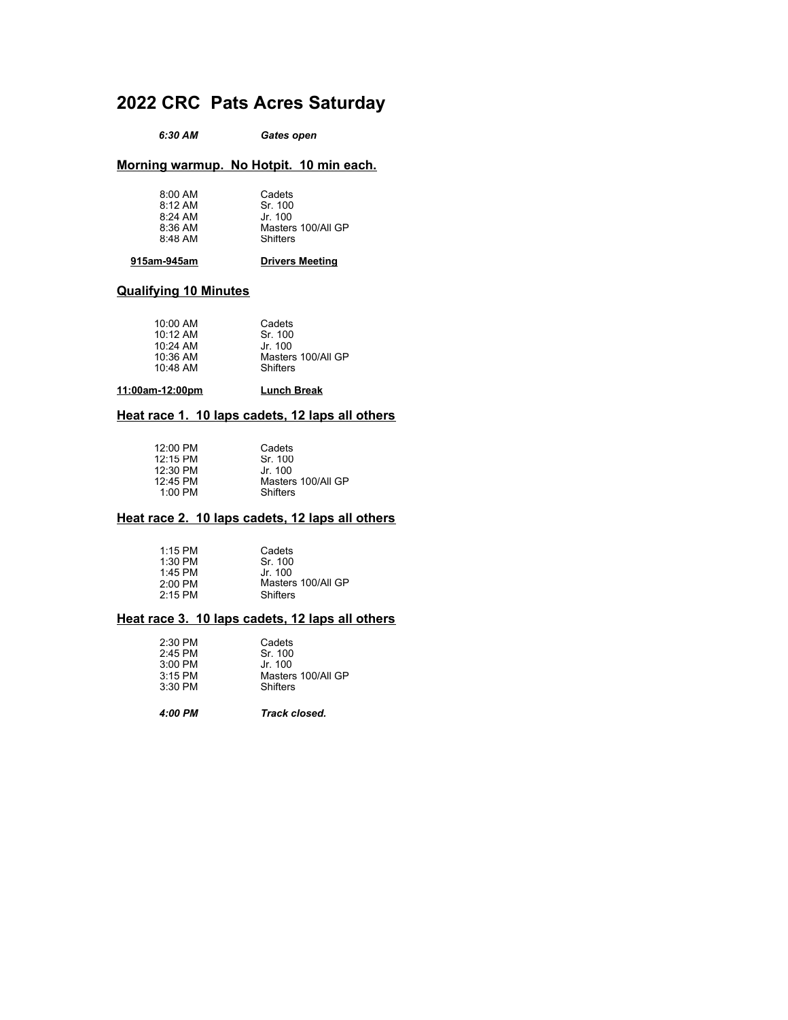# **2022 CRC Pats Acres Saturday**

*6:30 AM Gates open*

#### **Morning warmup. No Hotpit. 10 min each.**

#### **915am-945am Drivers Meeting**

## **Qualifying 10 Minutes**

| $10:00$ AM<br>Cadets<br>$10.12 \text{ AM}$<br>10:24 AM<br>10:36 AM<br>10:48 AM | Sr 100<br>Jr. 100<br>Masters 100/All GP<br>Shifters |
|--------------------------------------------------------------------------------|-----------------------------------------------------|
|--------------------------------------------------------------------------------|-----------------------------------------------------|

#### **11:00am-12:00pm Lunch Break**

### **Heat race 1. 10 laps cadets, 12 laps all others**

| $12:00 \text{ PM}$ | Cadets             |
|--------------------|--------------------|
| 12:15 PM           | Sr. 100            |
| $12:30$ PM         | Jr 100             |
| 12:45 PM           | Masters 100/All GP |
| $1:00$ PM          | Shifters           |

#### **Heat race 2. 10 laps cadets, 12 laps all others**

| $1:15$ PM | Cadets             |
|-----------|--------------------|
| $1:30$ PM | Sr 100             |
| 1:45 PM   | Jr. 100            |
| $2:00$ PM | Masters 100/All GP |
| $2:15$ PM | Shifters           |

#### **Heat race 3. 10 laps cadets, 12 laps all others**

| $2:30$ PM | Cadets             |
|-----------|--------------------|
| $2:45$ PM | Sr. 100            |
| $3:00$ PM | Jr 100             |
| $3:15$ PM | Masters 100/All GP |
| $3:30$ PM | Shifters           |
|           |                    |

*4:00 PM Track closed.*